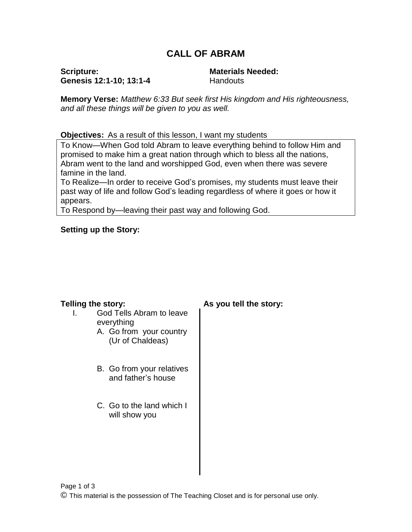# **CALL OF ABRAM**

**Scripture: Genesis 12:1-10; 13:1-4** **Materials Needed: Handouts** 

**Memory Verse:** *Matthew 6:33 But seek first His kingdom and His righteousness, and all these things will be given to you as well.*

**Objectives:** As a result of this lesson, I want my students

To Know—When God told Abram to leave everything behind to follow Him and promised to make him a great nation through which to bless all the nations, Abram went to the land and worshipped God, even when there was severe famine in the land.

To Realize—In order to receive God's promises, my students must leave their past way of life and follow God's leading regardless of where it goes or how it appears.

To Respond by—leaving their past way and following God.

### **Setting up the Story:**

- I. God Tells Abram to leave everything
	- A. Go from your country (Ur of Chaldeas)
	- B. Go from your relatives and father's house
	- C. Go to the land which I will show you

### **Telling the story: As you tell the story:**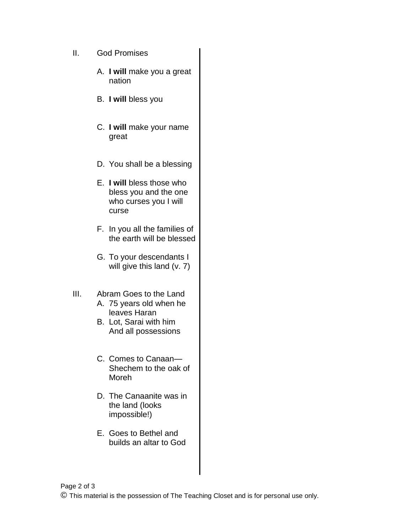- II. God Promises
	- A. **I will** make you a great nation
	- B. **I will** bless you
	- C. **I will** make your name great
	- D. You shall be a blessing
	- E. **I will** bless those who bless you and the one who curses you I will curse
	- F. In you all the families of the earth will be blessed
	- G. To your descendants I will give this land (v. 7)
- III. Abram Goes to the Land A. 75 years old when he leaves Haran
	- B. Lot, Sarai with him And all possessions
	- C. Comes to Canaan— Shechem to the oak of Moreh
	- D. The Canaanite was in the land (looks impossible!)
	- E. Goes to Bethel and builds an altar to God